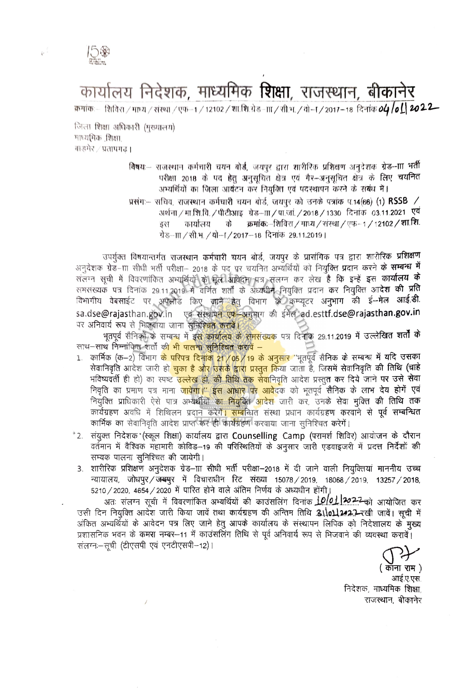

## कार्यालय निदेशक, माध्यमिक **शिक्षा**, राजस्थान, बीकानेर

क्रमांकः— शिविरा / माध्य / संख्या / एफ--1 / 12102 / शा.शि.ग्रेड--m / सी.भ. / वो--T / 2017--18 दिनांक **04 /o [] 20 2 2—** 

जिला शिक्षा अधिकारी (मुख्यालय) माध्यमिक शिक्षा. बाडमेर / प्रतापगढ ।

> विषय:-- राजस्थान कर्मचारी चयन बोर्ड, जयपुर द्वारा शारीरिक प्रशिक्षण अनुदेशक ग्रेड--ाा भर्ती परीक्षा 2018 के पद हेतु अनुसृचित क्षेत्र एवं गैर-अनुसृचित क्षेत्र के लिए चयनित अभ्यर्थियों का जिला आवंटन कर नियुक्ति एवं पदस्थापन करने के संबंध में।

> प्रसंग- सचिव, राजस्थान कर्मघारी चयन बोर्ड, जयपुर को उनके पत्रांक प.14(66) (1) RSSB / अर्थना / मा.शि.वि. / पीटीआइ - ग्रेड–ााा / पा.जां. / 2018 / 1330 - दिनांक - 03.11.2021 - एवं क्रमांकः-शिविरा / माध्य / संस्था / एफ-1 / 12102 / शा.शि. कार्यालय को इंस ग्रेड−π∕सी.भ.⁄यो−ा⁄2017−18 दिनांक 29.11.2019।

उपर्युक्त विषयान्तर्गत राजस्थान कर्मचारी चयन बोर्ड, जयपुर के प्रासंगिक पत्र द्वारा शारीरिक **प्रशिक्षण** अनुदेशक ग्रेड-ाा सीधी भर्ती परीक्षा- 2018 के पद पर चयनित अभ्यर्थियों को नियुक्ति प्रदान करने के सम्बन्ध में संलग्न सूची में विवरणांकित अभ्यूर्थियों को मूली अविद्या पत्र संलग्न कर लेख है कि इन्हें इस कार्यालय के समसंख्यकं पत्र दिनांक 29.11.2019 में वर्णित शर्तों के अध्यधीन नियुक्ति प्रदान कर नियुक्ति आ**देश की प्रति**<br>विभागीय वेबसाईट पर अपलोड किए जाने हेतु विभाग *को कम्प्यूटर अनु*भाग की ई—मेल आई.डी. sa.dse@rajasthan.gov.in एवं संस्थापन एफ-अनुभाग की ईमेल ad.esttf.dse@rajasthan.gov.in पर अनिवार्य रूप से भिजवाया जाना सुनिश्चित करावें।

भूतपूर्व सैनिकों के सम्बन्ध में इ<mark>स कार्यालय के समसंख्यक</mark> पत्र दिनाक 29.11.**2019 में उल्लेखित शर्तों के** साथ–साथ निम्नांकित शर्तों क<mark>ी भी पालना सुनिश्चित करावें –</mark>

- 1. कार्मिक (क–2) विभाग <mark>के परिपत्र दिनांक 21/05/19 के अनुसार</mark> ''भूतपूर्व सैनिक के सम्बन्ध में यदि उसका सेवानिवृति आदेश जारी ह<mark>ो चुका है ओर उसके द्वारा प्रस्तुत कि</mark>या जाता हैं, जिसमें सेवानिवृति की तिथि (चाहे भविष्यवर्ती ही हो) का स्पष्ट <mark>उल्लेख हो, की तिथि तक सेवा</mark>निवृति आदेश प्रस्तु**त क**र दिये जाने **पर उसे सेवा** निवृति का प्रमाण पत्र माना <mark>जावेगा।'' इस आधार पर आवेद</mark>क को भूतपूर्व **सैनिक के लाभ देय होगें एवं**<br>नियुक्ति प्राधिकारी ऐसे पात्र अभ्यर्थीयोंे<mark>का नियुक्ति आ</mark>देश जारी कर, उनके सेवा मुक्ति की तिथि तक कार्यग्रहण अवधि में शिथिलन प्रदान करेगे<mark>ं। सम्ब</mark>न्धित संस्था प्रधान कार्यग्रहण करवाने से पूर्व **सम्बन्धित** कार्मिक का सेवानिवृति आदेश प्राप्त कर ही कार्यग्रहण करवाया जाना सुनिश्चित करेगें।
- ै2. संयुक्त निदेशक (स्कूल शिक्षा) कार्यालय द्वारा Counselling Camp (परामर्श शिविर) आयोजन के दौरान वर्तमान में वैश्विक महामारी कोविड़-19 की परिस्थितियों के अनुसार जारी एडवाइजरी में प्रदत्त निर्देशों की सम्यक पालना सुनिश्चित की जायेगी।
	- 3. शारीरिक प्रशिक्षण अनुदेशक ग्रेड–ााा सीधी भर्ती परीक्षा—2018 में दी जाने वाली नियुक्तियां माननीय उच्च न्यायालय, जोधपुर/जम्भ्यपुर में विचाराधीन रिट संख्या 15078/2019, 18068/2019, 13257/2018, 5210 / 2020, 4654 / 2020 में पारित होने वाले अंतिम निर्णय के अध्यधीन होंगी।

अतः संलग्न सूची में विवरणांकित अभ्यर्थियों की काउंसलिंग दिनांक **10/01.1202-2-**को आयोजित कर उसी दिन नियुक्ति आदेश जारी किया जावें तथा कार्यग्रहण की अन्तिम तिथि 3110112.22-रखी जावें। सूची में अंकित अभ्यर्थियों के आवेदन पत्र लिए जाने हेतु आपके कार्यालय के संस्थापन लिपिक को निदेशालय के मुख्य प्रशासनिक भवन के कमस नम्बर-11 में काउंसलिंग तिथि से पूर्व अनिवार्य रूप से भिजवाने की व्यवस्था करावें। संलग्न - सूची (टीएसपी एवं एनटीएसपी-12)।

( कॉना राम )

आई.ए.एस. निदेशक, माध्यमिक शिक्षा, राजस्थान, बीकानेर